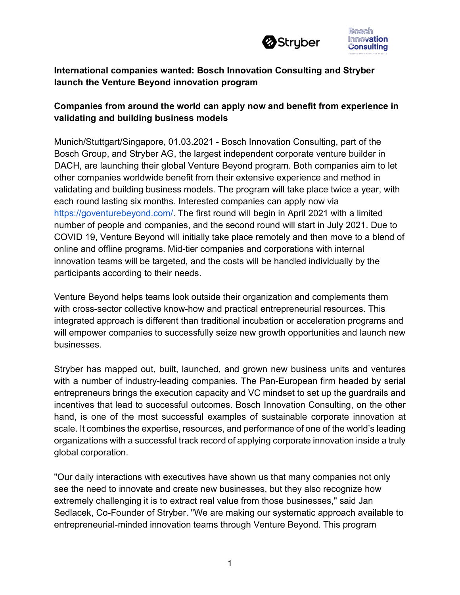



# **International companies wanted: Bosch Innovation Consulting and Stryber launch the Venture Beyond innovation program**

## **Companies from around the world can apply now and benefit from experience in validating and building business models**

Munich/Stuttgart/Singapore, 01.03.2021 - Bosch Innovation Consulting, part of the Bosch Group, and Stryber AG, the largest independent corporate venture builder in DACH, are launching their global Venture Beyond program. Both companies aim to let other companies worldwide benefit from their extensive experience and method in validating and building business models. The program will take place twice a year, with each round lasting six months. Interested companies can apply now via https://goventurebeyond.com/. The first round will begin in April 2021 with a limited number of people and companies, and the second round will start in July 2021. Due to COVID 19, Venture Beyond will initially take place remotely and then move to a blend of online and offline programs. Mid-tier companies and corporations with internal innovation teams will be targeted, and the costs will be handled individually by the participants according to their needs.

Venture Beyond helps teams look outside their organization and complements them with cross-sector collective know-how and practical entrepreneurial resources. This integrated approach is different than traditional incubation or acceleration programs and will empower companies to successfully seize new growth opportunities and launch new businesses.

Stryber has mapped out, built, launched, and grown new business units and ventures with a number of industry-leading companies. The Pan-European firm headed by serial entrepreneurs brings the execution capacity and VC mindset to set up the guardrails and incentives that lead to successful outcomes. Bosch Innovation Consulting, on the other hand, is one of the most successful examples of sustainable corporate innovation at scale. It combines the expertise, resources, and performance of one of the world's leading organizations with a successful track record of applying corporate innovation inside a truly global corporation.

"Our daily interactions with executives have shown us that many companies not only see the need to innovate and create new businesses, but they also recognize how extremely challenging it is to extract real value from those businesses," said Jan Sedlacek, Co-Founder of Stryber. "We are making our systematic approach available to entrepreneurial-minded innovation teams through Venture Beyond. This program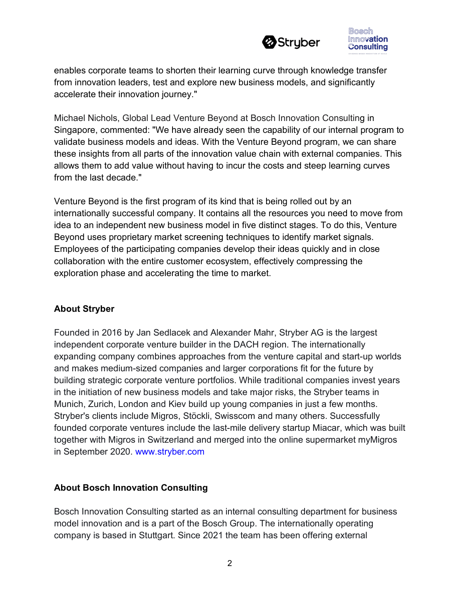



enables corporate teams to shorten their learning curve through knowledge transfer from innovation leaders, test and explore new business models, and significantly accelerate their innovation journey."

Michael Nichols, Global Lead Venture Beyond at Bosch Innovation Consulting in Singapore, commented: "We have already seen the capability of our internal program to validate business models and ideas. With the Venture Beyond program, we can share these insights from all parts of the innovation value chain with external companies. This allows them to add value without having to incur the costs and steep learning curves from the last decade."

Venture Beyond is the first program of its kind that is being rolled out by an internationally successful company. It contains all the resources you need to move from idea to an independent new business model in five distinct stages. To do this, Venture Beyond uses proprietary market screening techniques to identify market signals. Employees of the participating companies develop their ideas quickly and in close collaboration with the entire customer ecosystem, effectively compressing the exploration phase and accelerating the time to market.

## **About Stryber**

Founded in 2016 by Jan Sedlacek and Alexander Mahr, Stryber AG is the largest independent corporate venture builder in the DACH region. The internationally expanding company combines approaches from the venture capital and start-up worlds and makes medium-sized companies and larger corporations fit for the future by building strategic corporate venture portfolios. While traditional companies invest years in the initiation of new business models and take major risks, the Stryber teams in Munich, Zurich, London and Kiev build up young companies in just a few months. Stryber's clients include Migros, Stöckli, Swisscom and many others. Successfully founded corporate ventures include the last-mile delivery startup Miacar, which was built together with Migros in Switzerland and merged into the online supermarket myMigros in September 2020. www.stryber.com

### **About Bosch Innovation Consulting**

Bosch Innovation Consulting started as an internal consulting department for business model innovation and is a part of the Bosch Group. The internationally operating company is based in Stuttgart. Since 2021 the team has been offering external